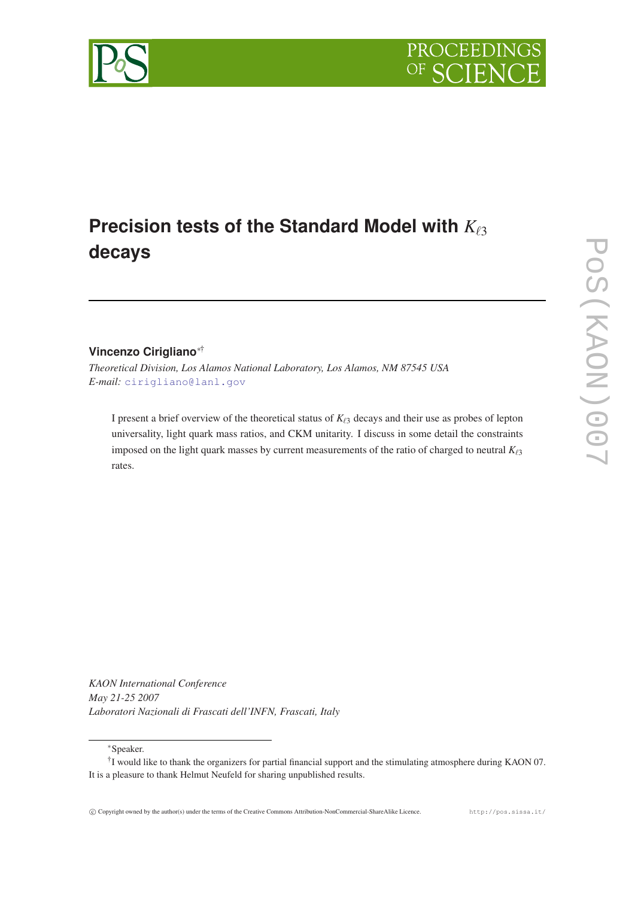

# **Precision tests of the Standard Model with**  $K_{\ell 3}$ **decays**

## **Vincenzo Cirigliano**∗†

*Theoretical Division, Los Alamos National Laboratory, Los Alamos, NM 87545 USA E-mail:* [cirigliano@lanl.gov](mailto:cirigliano@lanl.gov)

I present a brief overview of the theoretical status of  $K_{\ell 3}$  decays and their use as probes of lepton universality, light quark mass ratios, and CKM unitarity. I discuss in some detail the constraints imposed on the light quark masses by current measurements of the ratio of charged to neutral  $K_{\ell 3}$ rates.

*KAON International Conference May 21-25 2007 Laboratori Nazionali di Frascati dell'INFN, Frascati, Italy*

<sup>∗</sup>Speaker.





<sup>&</sup>lt;sup>†</sup>I would like to thank the organizers for partial financial support and the stimulating atmosphere during KAON 07. It is a pleasure to thank Helmut Neufeld for sharing unpublished results.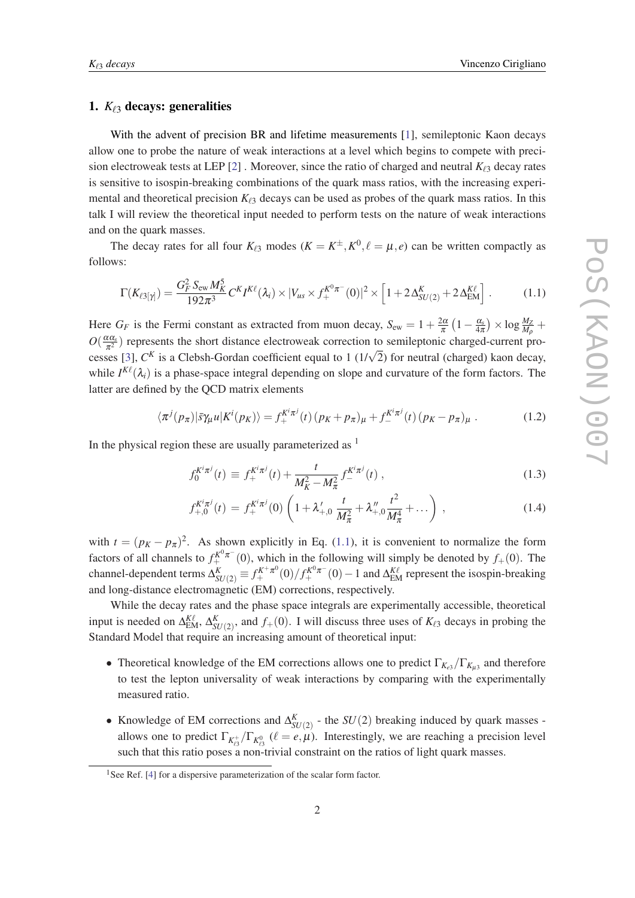#### 1.  $K_{\ell 3}$  decays: generalities

With the advent of precision BR and lifetime measurements [[1](#page-7-0)], semileptonic Kaon decays allow one to probe the nature of weak interactions at a level which begins to compete with preci-sion electroweak tests at LEP [\[2\]](#page-7-0). Moreover, since the ratio of charged and neutral  $K_{\ell3}$  decay rates is sensitive to isospin-breaking combinations of the quark mass ratios, with the increasing experimental and theoretical precision  $K_{\ell 3}$  decays can be used as probes of the quark mass ratios. In this talk I will review the theoretical input needed to perform tests on the nature of weak interactions and on the quark masses.

The decay rates for all four  $K_{\ell 3}$  modes  $(K = K^{\pm}, K^0, \ell = \mu, e)$  can be written compactly as follows:

$$
\Gamma(K_{\ell 3[\gamma]}) = \frac{G_F^2 S_{\text{ew}} M_K^5}{192\pi^3} C^K I^{K\ell}(\lambda_i) \times |V_{us} \times f_+^{K^0 \pi^-}(0)|^2 \times \left[1 + 2\Delta_{SU(2)}^K + 2\Delta_{\text{EM}}^{K\ell}\right]. \tag{1.1}
$$

Here  $G_F$  is the Fermi constant as extracted from muon decay,  $S_{ew} = 1 + \frac{2\alpha}{\pi}$  $\frac{2\alpha}{\pi}\left(1-\frac{\alpha_{\rm s}}{4\pi}\right)\times\log\frac{M_Z}{M_\rho}+$  $O(\frac{\alpha \alpha_s}{\pi^2})$  represents the short distance electroweak correction to semileptonic charged-current pro- $C(\frac{\pi^2}{\pi^2})$  represents the short distance electroweak correction to semileptonic enarged-edited processes [\[3\]](#page-7-0),  $C^K$  is a Clebsh-Gordan coefficient equal to 1 ( $1/\sqrt{2}$ ) for neutral (charged) kaon decay, while  $I^{K\ell}(\lambda_i)$  is a phase-space integral depending on slope and curvature of the form factors. The latter are defined by the QCD matrix elements

$$
\langle \pi^j(p_\pi)|\bar{s}\gamma_\mu u|K^i(p_K)\rangle = f_+^{K^i\pi^j}(t)\left(p_K+p_\pi\right)_\mu + f_-^{K^i\pi^j}(t)\left(p_K-p_\pi\right)_\mu.
$$
 (1.2)

In the physical region these are usually parameterized as  $<sup>1</sup>$ </sup>

$$
f_0^{K^i\pi^j}(t) \equiv f_+^{K^i\pi^j}(t) + \frac{t}{M_K^2 - M_\pi^2} f_-^{K^i\pi^j}(t) , \qquad (1.3)
$$

$$
f_{+,0}^{K^i\pi^j}(t) = f_{+}^{K^i\pi^j}(0) \left( 1 + \lambda'_{+,0} \frac{t}{M_{\pi}^2} + \lambda''_{+,0} \frac{t^2}{M_{\pi}^4} + \dots \right) , \qquad (1.4)
$$

with  $t = (p_K - p_\pi)^2$ . As shown explicitly in Eq. (1.1), it is convenient to normalize the form factors of all channels to  $f_+^{K^0 \pi^-}(0)$ , which in the following will simply be denoted by  $f_+(0)$ . The channel-dependent terms  $\Delta_{SU(2)}^K \equiv f_+^{K^+ \pi^0}(0) / f_+^{K^0 \pi^-}(0) - 1$  and  $\Delta_{EM}^{K\ell}$  represent the isospin-breaking and long-distance electromagnetic (EM) corrections, respectively.

While the decay rates and the phase space integrals are experimentally accessible, theoretical input is needed on  $\Delta_{EM}^{K\ell}$ ,  $\Delta_{SU(2)}^K$ , and  $f_+(0)$ . I will discuss three uses of  $K_{\ell3}$  decays in probing the Standard Model that require an increasing amount of theoretical input:

- Theoretical knowledge of the EM corrections allows one to predict  $\Gamma_{K_{e3}}/\Gamma_{K_{\mu3}}$  and therefore to test the lepton universality of weak interactions by comparing with the experimentally measured ratio.
- Knowledge of EM corrections and  $\Delta_{SU(2)}^K$  the *SU*(2) breaking induced by quark masses allows one to predict  $\Gamma_{K_{\ell_3}^+}/\Gamma_{K_{\ell_3}^0}$  ( $\ell = e, \mu$ ). Interestingly, we are reaching a precision level such that this ratio poses a non-trivial constraint on the ratios of light quark masses.

<sup>&</sup>lt;sup>1</sup>See Ref. [\[4\]](#page-7-0) for a dispersive parameterization of the scalar form factor.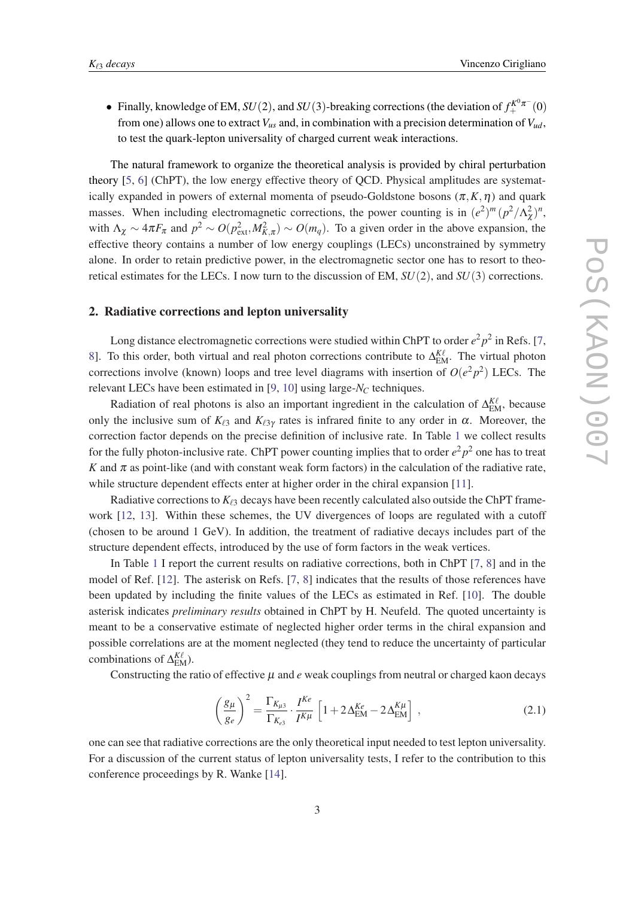• Finally, knowledge of EM,  $SU(2)$ , and  $SU(3)$ -breaking corrections (the deviation of  $f_+^{K^0\pi^-}(0)$ from one) allows one to extract  $V_{us}$  and, in combination with a precision determination of  $V_{ud}$ , to test the quark-lepton universality of charged current weak interactions.

The natural framework to organize the theoretical analysis is provided by chiral perturbation theory [\[5,](#page-8-0) [6\]](#page-8-0) (ChPT), the low energy effective theory of QCD. Physical amplitudes are systematically expanded in powers of external momenta of pseudo-Goldstone bosons  $(\pi, K, \eta)$  and quark masses. When including electromagnetic corrections, the power counting is in  $(e^2)^m (p^2/\Lambda_{\chi}^2)^n$ , with  $\Lambda_{\chi} \sim 4\pi F_{\pi}$  and  $p^2 \sim O(p_{ext}^2, M_{K,\pi}^2) \sim O(m_q)$ . To a given order in the above expansion, the effective theory contains a number of low energy couplings (LECs) unconstrained by symmetry alone. In order to retain predictive power, in the electromagnetic sector one has to resort to theoretical estimates for the LECs. I now turn to the discussion of EM, *SU*(2), and *SU*(3) corrections.

### 2. Radiative corrections and lepton universality

Long distance electromagnetic corrections were studied within ChPT to order  $e^2p^2$  in Refs. [[7](#page-8-0), [8\]](#page-8-0). To this order, both virtual and real photon corrections contribute to  $\Delta_{\text{EM}}^{K\ell}$ . The virtual photon corrections involve (known) loops and tree level diagrams with insertion of  $O(e^2p^2)$  LECs. The relevant LECs have been estimated in [[9](#page-8-0), [10\]](#page-8-0) using large- $N_C$  techniques.

Radiation of real photons is also an important ingredient in the calculation of  $\Delta_{EM}^{K\ell}$ , because only the inclusive sum of  $K_{\ell 3}$  and  $K_{\ell 3\gamma}$  rates is infrared finite to any order in  $\alpha$ . Moreover, the correction factor depends on the precise definition of inclusive rate. In Table [1](#page-3-0) we collect results for the fully photon-inclusive rate. ChPT power counting implies that to order  $e^2p^2$  one has to treat  $K$  and  $\pi$  as point-like (and with constant weak form factors) in the calculation of the radiative rate, while structure dependent effects enter at higher order in the chiral expansion [\[11\]](#page-8-0).

Radiative corrections to  $K_{\ell 3}$  decays have been recently calculated also outside the ChPT framework [\[12](#page-8-0), [13\]](#page-8-0). Within these schemes, the UV divergences of loops are regulated with a cutoff (chosen to be around 1 GeV). In addition, the treatment of radiative decays includes part of the structure dependent effects, introduced by the use of form factors in the weak vertices.

In Table [1](#page-3-0) I report the current results on radiative corrections, both in ChPT [[7](#page-8-0), [8](#page-8-0)] and in the model of Ref. [\[12\]](#page-8-0). The asterisk on Refs. [[7](#page-8-0), [8](#page-8-0)] indicates that the results of those references have been updated by including the finite values of the LECs as estimated in Ref. [\[10](#page-8-0)]. The double asterisk indicates *preliminary results* obtained in ChPT by H. Neufeld. The quoted uncertainty is meant to be a conservative estimate of neglected higher order terms in the chiral expansion and possible correlations are at the moment neglected (they tend to reduce the uncertainty of particular combinations of  $\Delta_{\text{EM}}^{K\ell}$ ).

Constructing the ratio of effective  $\mu$  and  $e$  weak couplings from neutral or charged kaon decays

$$
\left(\frac{g_{\mu}}{g_e}\right)^2 = \frac{\Gamma_{K_{\mu 3}}}{\Gamma_{K_{e3}}} \cdot \frac{I^{Ke}}{I^{K\mu}} \left[1 + 2\Delta_{\text{EM}}^{Ke} - 2\Delta_{\text{EM}}^{K\mu}\right] \,,\tag{2.1}
$$

one can see that radiative corrections are the only theoretical input needed to test lepton universality. For a discussion of the current status of lepton universality tests, I refer to the contribution to this conference proceedings by R. Wanke [[14\]](#page-8-0).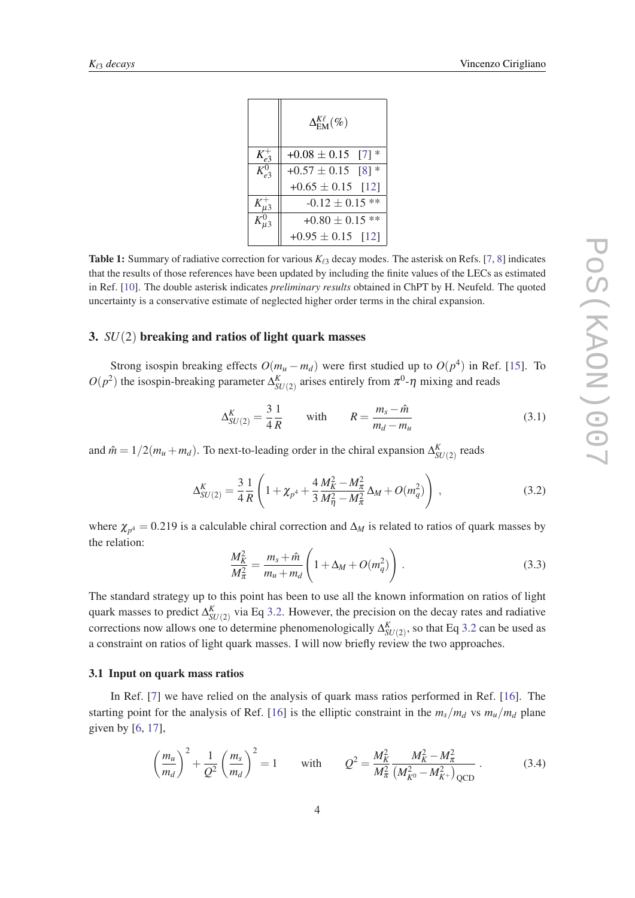<span id="page-3-0"></span>

|              | $\Delta_{\text{EM}}^{K\ell}(\%)$ |
|--------------|----------------------------------|
| $K_{\rho}^+$ | $+0.08 \pm 0.15$ [7] *           |
| $K_{e3}^{0}$ | $+0.57 \pm 0.15$ [8] *           |
|              | $+0.65 \pm 0.15$ [12]            |
| $K_{\mu}^+$  | $-0.12 \pm 0.15$ **              |
|              | $+0.80 \pm 0.15$ **              |
|              | $+0.95 \pm 0.15$ [12]            |

**Table 1:** Summary of radiative correction for various  $K_{\ell 3}$  decay modes. The asterisk on Refs. [[7](#page-8-0), [8](#page-8-0)] indicates that the results of those references have been updated by including the finite values of the LECs as estimated in Ref. [\[10](#page-8-0)]. The double asterisk indicates *preliminary results* obtained in ChPT by H. Neufeld. The quoted uncertainty is a conservative estimate of neglected higher order terms in the chiral expansion.

#### 3. *SU*(2) breaking and ratios of light quark masses

Strong isospin breaking effects  $O(m_u - m_d)$  were first studied up to  $O(p^4)$  in Ref. [\[15](#page-8-0)]. To  $O(p^2)$  the isospin-breaking parameter  $\Delta_{SU(2)}^K$  arises entirely from  $\pi^0$ -η mixing and reads

$$
\Delta_{SU(2)}^K = \frac{3}{4} \frac{1}{R} \quad \text{with} \quad R = \frac{m_s - \hat{m}}{m_d - m_u} \tag{3.1}
$$

and  $\hat{m} = 1/2(m_u + m_d)$ . To next-to-leading order in the chiral expansion  $\Delta_{SU(2)}^K$  reads

$$
\Delta_{SU(2)}^K = \frac{3}{4} \frac{1}{R} \left( 1 + \chi_{p^4} + \frac{4}{3} \frac{M_K^2 - M_\pi^2}{M_\eta^2 - M_\pi^2} \Delta_M + O(m_q^2) \right) ,\qquad (3.2)
$$

where  $\chi_{p^4} = 0.219$  is a calculable chiral correction and  $\Delta_M$  is related to ratios of quark masses by the relation:

$$
\frac{M_K^2}{M_\pi^2} = \frac{m_s + \hat{m}}{m_u + m_d} \left( 1 + \Delta_M + O(m_q^2) \right) . \tag{3.3}
$$

The standard strategy up to this point has been to use all the known information on ratios of light quark masses to predict  $\Delta_{SU(2)}^K$  via Eq 3.2. However, the precision on the decay rates and radiative corrections now allows one to determine phenomenologically  $\Delta_{SU(2)}^K$ , so that Eq 3.2 can be used as a constraint on ratios of light quark masses. I will now briefly review the two approaches.

#### 3.1 Input on quark mass ratios

In Ref. [[7](#page-8-0)] we have relied on the analysis of quark mass ratios performed in Ref. [\[16](#page-8-0)]. The starting point for the analysis of Ref. [\[16](#page-8-0)] is the elliptic constraint in the  $m_s/m_d$  vs  $m_u/m_d$  plane given by [\[6,](#page-8-0) [17\]](#page-8-0),

$$
\left(\frac{m_u}{m_d}\right)^2 + \frac{1}{Q^2} \left(\frac{m_s}{m_d}\right)^2 = 1 \quad \text{with} \quad Q^2 = \frac{M_K^2}{M_{\pi}^2} \frac{M_K^2 - M_{\pi}^2}{\left(M_{K^0}^2 - M_{K^+}^2\right)_{\text{QCD}}} \,. \tag{3.4}
$$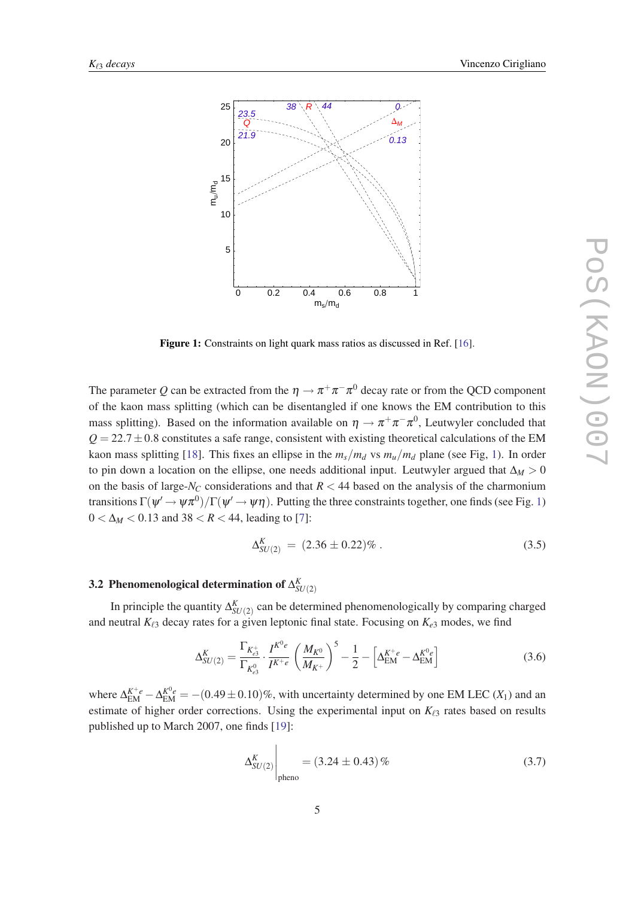<span id="page-4-0"></span>

Figure 1: Constraints on light quark mass ratios as discussed in Ref. [[16\]](#page-8-0).

The parameter  $Q$  can be extracted from the  $\eta \to \pi^+ \pi^- \pi^0$  decay rate or from the QCD component of the kaon mass splitting (which can be disentangled if one knows the EM contribution to this mass splitting). Based on the information available on  $\eta \to \pi^+ \pi^- \pi^0$ , Leutwyler concluded that  $Q = 22.7 \pm 0.8$  constitutes a safe range, consistent with existing theoretical calculations of the EM kaon mass splitting [[18\]](#page-8-0). This fixes an ellipse in the  $m_s/m_d$  vs  $m_u/m_d$  plane (see Fig, 1). In order to pin down a location on the ellipse, one needs additional input. Leutwyler argued that  $\Delta_M > 0$ on the basis of large- $N_C$  considerations and that  $R < 44$  based on the analysis of the charmonium transitions  $\Gamma(\psi'\to\psi\pi^0)/\Gamma(\psi'\to\psi\eta)$ . Putting the three constraints together, one finds (see Fig. 1)  $0 < \Delta_M < 0.13$  and  $38 < R < 44$ , leading to [\[7\]](#page-8-0):

$$
\Delta_{SU(2)}^K = (2.36 \pm 0.22)\% \tag{3.5}
$$

# 3.2 Phenomenological determination of  $\Delta_{SU(2)}^K$

In principle the quantity  $\Delta_{SU(2)}^K$  can be determined phenomenologically by comparing charged and neutral  $K_{\ell 3}$  decay rates for a given leptonic final state. Focusing on  $K_{e3}$  modes, we find

$$
\Delta_{SU(2)}^K = \frac{\Gamma_{K_{e3}^+}}{\Gamma_{K_{e3}^0}} \cdot \frac{I^{K^0 e}}{I^{K^+ e}} \left(\frac{M_{K^0}}{M_{K^+}}\right)^5 - \frac{1}{2} - \left[\Delta_{\text{EM}}^{K^+ e} - \Delta_{\text{EM}}^{K^0 e}\right]
$$
(3.6)

where  $\Delta_{EM}^{K^+e} - \Delta_{EM}^{K^0e} = -(0.49 \pm 0.10)\%$ , with uncertainty determined by one EM LEC (*X*<sub>1</sub>) and an estimate of higher order corrections. Using the experimental input on  $K_{\ell 3}$  rates based on results published up to March 2007, one finds [[19\]](#page-8-0):

$$
\Delta_{SU(2)}^K \bigg|_{\text{pheno}} = (3.24 \pm 0.43)\,\%
$$
\n(3.7)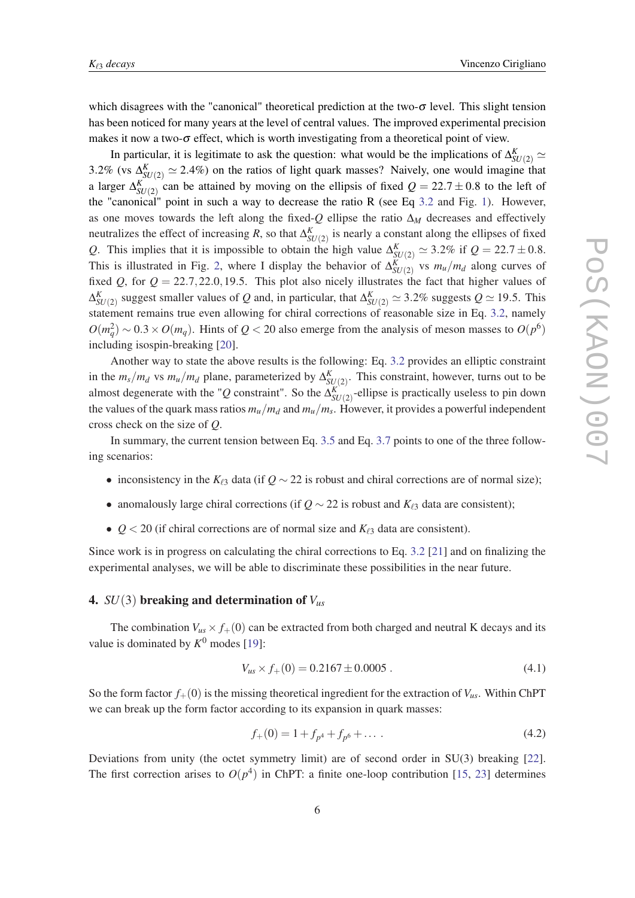which disagrees with the "canonical" theoretical prediction at the two- $\sigma$  level. This slight tension has been noticed for many years at the level of central values. The improved experimental precision makes it now a two- $\sigma$  effect, which is worth investigating from a theoretical point of view.

In particular, it is legitimate to ask the question: what would be the implications of  $\Delta_{SU(2)}^K \simeq$ 3.2% (vs  $\Delta_{SU(2)}^K \simeq 2.4\%$ ) on the ratios of light quark masses? Naively, one would imagine that a larger  $\Delta_{SU(2)}^{K}$  can be attained by moving on the ellipsis of fixed  $Q = 22.7 \pm 0.8$  to the left of the "canonical" point in such a way to decrease the ratio R (see Eq [3.2](#page-3-0) and Fig. [1\)](#page-4-0). However, as one moves towards the left along the fixed-*Q* ellipse the ratio ∆*<sup>M</sup>* decreases and effectively neutralizes the effect of increasing *R*, so that  $\Delta_{SU(2)}^K$  is nearly a constant along the ellipses of fixed *Q*. This implies that it is impossible to obtain the high value  $\Delta_{SU(2)}^K \simeq 3.2\%$  if  $Q = 22.7 \pm 0.8$ . This is illustrated in Fig. [2](#page-6-0), where I display the behavior of  $\Delta_{SU(2)}^{K}$  vs  $m_u/m_d$  along curves of fixed *Q*, for  $Q = 22.7, 22.0, 19.5$ . This plot also nicely illustrates the fact that higher values of  $\Delta_{SU(2)}^K$  suggest smaller values of *Q* and, in particular, that  $\Delta_{SU(2)}^K$   $\simeq$  3.2% suggests *Q*  $\simeq$  19.5. This statement remains true even allowing for chiral corrections of reasonable size in Eq. [3.2,](#page-3-0) namely  $O(m_q^2) \sim 0.3 \times O(m_q)$ . Hints of  $Q < 20$  also emerge from the analysis of meson masses to  $O(p^6)$ including isospin-breaking [\[20](#page-8-0)].

Another way to state the above results is the following: Eq. [3.2](#page-3-0) provides an elliptic constraint in the  $m_s/m_d$  vs  $m_u/m_d$  plane, parameterized by  $\Delta_{SU(2)}^K$ . This constraint, however, turns out to be almost degenerate with the "*Q* constraint". So the  $\Delta_{SU(2)}^{K}$ -ellipse is practically useless to pin down the values of the quark mass ratios *mu*/*m<sup>d</sup>* and *mu*/*m<sup>s</sup>* . However, it provides a powerful independent cross check on the size of *Q*.

In summary, the current tension between Eq. [3.5](#page-4-0) and Eq. [3.7](#page-4-0) points to one of the three following scenarios:

- inconsistency in the  $K_{\ell 3}$  data (if  $Q \sim 22$  is robust and chiral corrections are of normal size);
- anomalously large chiral corrections (if  $Q \sim 22$  is robust and  $K_{\ell 3}$  data are consistent);
- $Q < 20$  (if chiral corrections are of normal size and  $K_{\ell 3}$  data are consistent).

Since work is in progress on calculating the chiral corrections to Eq. [3.2](#page-3-0) [[21\]](#page-8-0) and on finalizing the experimental analyses, we will be able to discriminate these possibilities in the near future.

#### 4. *SU*(3) breaking and determination of *Vus*

The combination  $V_{us} \times f_{+}(0)$  can be extracted from both charged and neutral K decays and its value is dominated by  $K^0$  modes [[19\]](#page-8-0):

$$
V_{us} \times f_+(0) = 0.2167 \pm 0.0005 \tag{4.1}
$$

So the form factor  $f_{+}(0)$  is the missing theoretical ingredient for the extraction of  $V_{us}$ . Within ChPT we can break up the form factor according to its expansion in quark masses:

$$
f_{+}(0) = 1 + f_{p^{4}} + f_{p^{6}} + \dots \tag{4.2}
$$

Deviations from unity (the octet symmetry limit) are of second order in SU(3) breaking [[22\]](#page-8-0). The first correction arises to  $O(p^4)$  in ChPT: a finite one-loop contribution [\[15,](#page-8-0) [23\]](#page-8-0) determines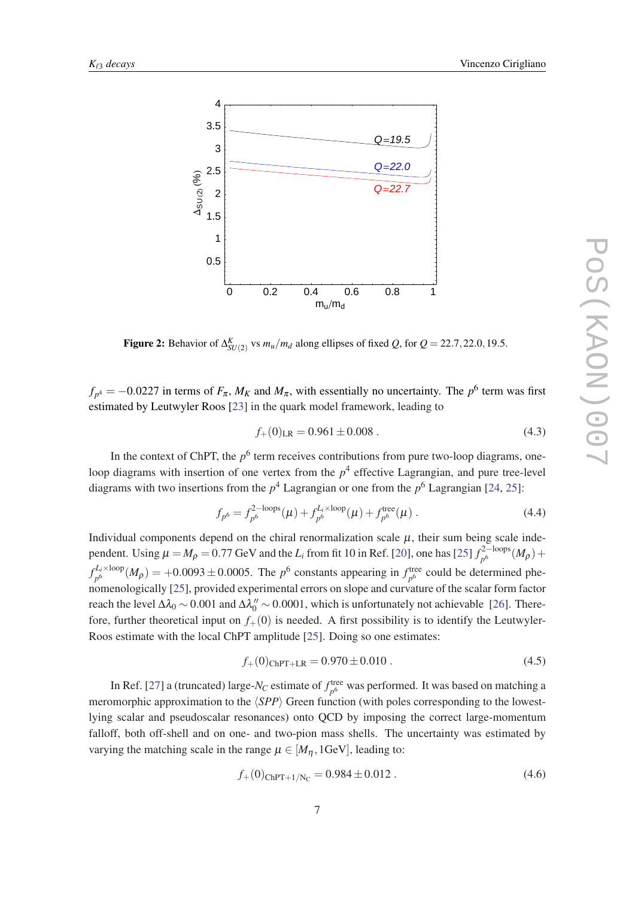<span id="page-6-0"></span>

Figure 2: Behavior of  $\Delta_{SU(2)}^K$  vs  $m_u/m_d$  along ellipses of fixed *Q*, for  $Q = 22.7, 22.0, 19.5$ .

 $f_{p^4} = -0.0227$  in terms of  $F_{\pi}$ ,  $M_K$  and  $M_{\pi}$ , with essentially no uncertainty. The  $p^6$  term was first estimated by Leutwyler Roos [[23\]](#page-8-0) in the quark model framework, leading to

$$
f_{+}(0)_{LR} = 0.961 \pm 0.008 . \qquad (4.3)
$$

In the context of ChPT, the  $p^6$  term receives contributions from pure two-loop diagrams, oneloop diagrams with insertion of one vertex from the  $p^4$  effective Lagrangian, and pure tree-level diagrams with two insertions from the  $p^4$  Lagrangian or one from the  $p^6$  Lagrangian [\[24,](#page-8-0) [25](#page-8-0)]:

$$
f_{p^6} = f_{p^6}^{2-\text{loops}}(\mu) + f_{p^6}^{L_i \times \text{loop}}(\mu) + f_{p^6}^{\text{tree}}(\mu) \tag{4.4}
$$

Individual components depend on the chiral renormalization scale  $\mu$ , their sum being scale independent. Using  $\mu = M_\rho = 0.77$  GeV and the  $L_i$  from fit 10 in Ref. [[20\]](#page-8-0), one has [[25\]](#page-8-0)  $f_{p_0}^{2-\text{loops}}$  $\frac{1}{p^6}$ <sup>-100ps</sup> $(M_{\rho}) +$  $f_{n6}^{L_i \times \text{loop}}$  $\frac{L_i \times \text{loop}}{p^6} (M_p) = +0.0093 \pm 0.0005$ . The *p*<sup>6</sup> constants appearing in  $f_{p^6}^{\text{tree}}$ <sup>tree</sup> could be determined phenomenologically [\[25](#page-8-0)], provided experimental errors on slope and curvature of the scalar form factor reach the level  $\Delta \lambda_0 \sim 0.001$  and  $\Delta \lambda_0'' \sim 0.0001$ , which is unfortunately not achievable [\[26](#page-8-0)]. Therefore, further theoretical input on  $f_+(0)$  is needed. A first possibility is to identify the Leutwyler-Roos estimate with the local ChPT amplitude [[25\]](#page-8-0). Doing so one estimates:

$$
f_{+}(0)_{\text{ChPT+LR}} = 0.970 \pm 0.010 \,. \tag{4.5}
$$

In Ref. [[27](#page-8-0)] a (truncated) large- $N_C$  estimate of  $f_{n6}^{\text{tree}}$ <sup>tree</sup> was performed. It was based on matching a meromorphic approximation to the  $\langle SPP \rangle$  Green function (with poles corresponding to the lowestlying scalar and pseudoscalar resonances) onto QCD by imposing the correct large-momentum falloff, both off-shell and on one- and two-pion mass shells. The uncertainty was estimated by varying the matching scale in the range  $\mu \in [M_n, 1 \text{GeV}]$ , leading to:

$$
f_{+}(0)_{\text{ChPT}+1/N_{\text{C}}} = 0.984 \pm 0.012 \,. \tag{4.6}
$$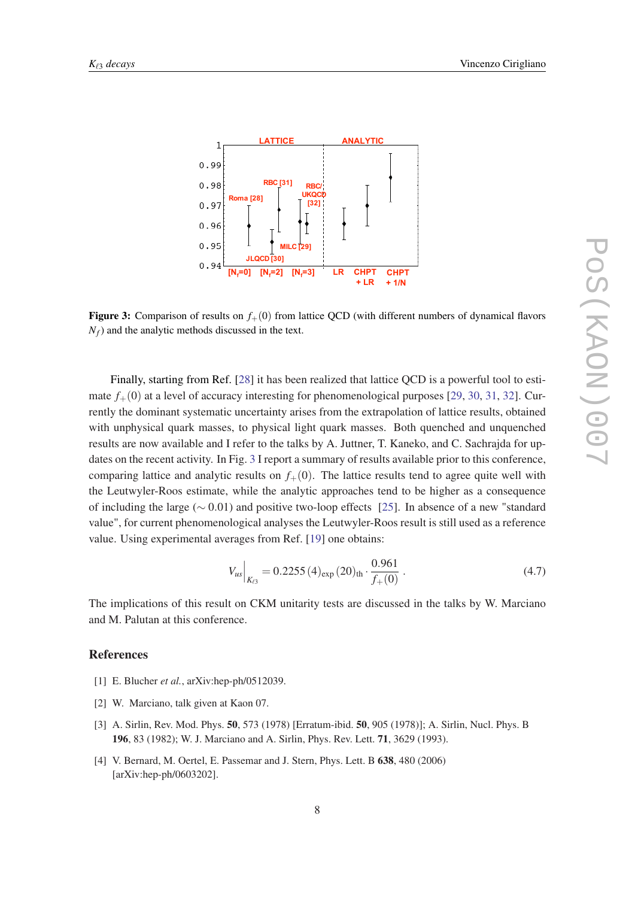<span id="page-7-0"></span>

**Figure 3:** Comparison of results on  $f_+(0)$  from lattice QCD (with different numbers of dynamical flavors *Nf*) and the analytic methods discussed in the text.

Finally, starting from Ref. [[28\]](#page-8-0) it has been realized that lattice QCD is a powerful tool to estimate  $f_{+}(0)$  at a level of accuracy interesting for phenomenological purposes [[29](#page-8-0), [30,](#page-8-0) [31](#page-8-0), [32](#page-8-0)]. Currently the dominant systematic uncertainty arises from the extrapolation of lattice results, obtained with unphysical quark masses, to physical light quark masses. Both quenched and unquenched results are now available and I refer to the talks by A. Juttner, T. Kaneko, and C. Sachrajda for updates on the recent activity. In Fig. 3 I report a summary of results available prior to this conference, comparing lattice and analytic results on  $f<sub>+</sub>(0)$ . The lattice results tend to agree quite well with the Leutwyler-Roos estimate, while the analytic approaches tend to be higher as a consequence of including the large (∼ 0.01) and positive two-loop effects [\[25](#page-8-0)]. In absence of a new "standard value", for current phenomenological analyses the Leutwyler-Roos result is still used as a reference value. Using experimental averages from Ref. [\[19](#page-8-0)] one obtains:

$$
V_{us}\Big|_{K_{\ell 3}} = 0.2255(4)_{\exp}(20)_{\text{th}} \cdot \frac{0.961}{f_+(0)}\,. \tag{4.7}
$$

The implications of this result on CKM unitarity tests are discussed in the talks by W. Marciano and M. Palutan at this conference.

#### References

- [1] E. Blucher *et al.*, arXiv:hep-ph/0512039.
- [2] W. Marciano, talk given at Kaon 07.
- [3] A. Sirlin, Rev. Mod. Phys. 50, 573 (1978) [Erratum-ibid. 50, 905 (1978)]; A. Sirlin, Nucl. Phys. B 196, 83 (1982); W. J. Marciano and A. Sirlin, Phys. Rev. Lett. 71, 3629 (1993).
- [4] V. Bernard, M. Oertel, E. Passemar and J. Stern, Phys. Lett. B 638, 480 (2006) [arXiv:hep-ph/0603202].